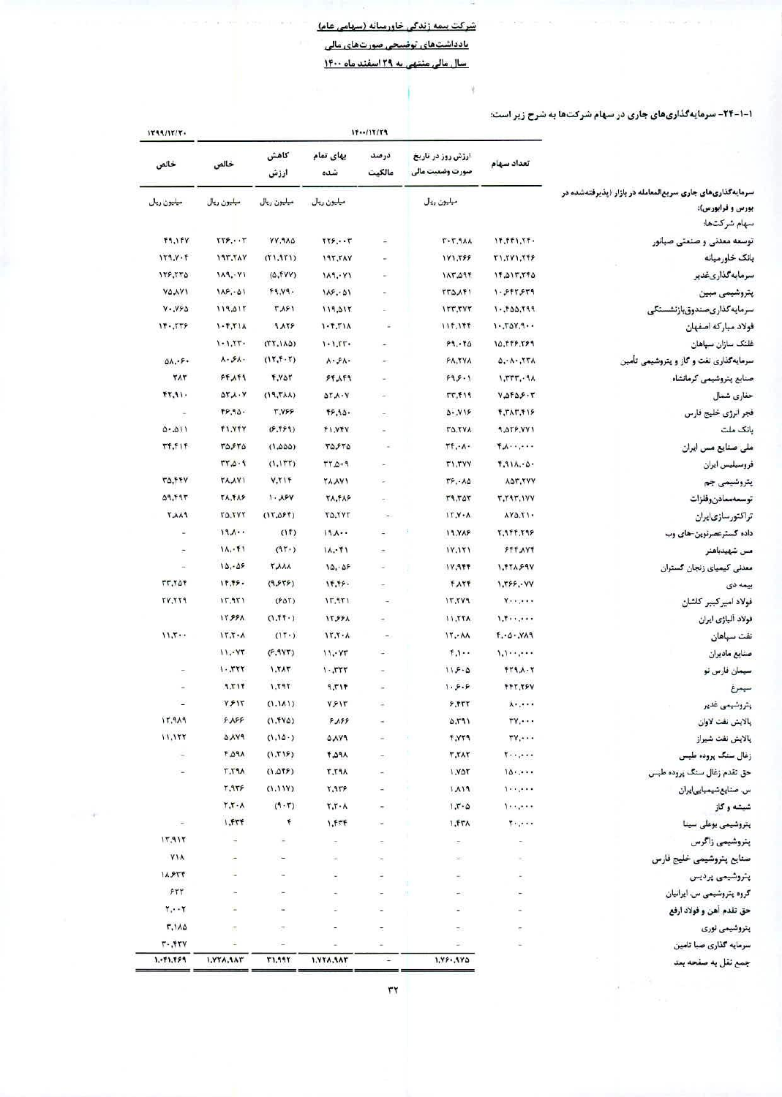## شرکت بیمه زندگی خاورمیانه (سهامی عام) بادداشتهای توضیحی صورتهای مالی سال مالی منتهی به ٢٩ اسفند ماه ١٤٠٠

q.

۱-۱-۲۴- سرمایهگذاریهای جاری در سهام شرکتها به شرح زیر است:

|                                                          |                                                                                                  |                               | 15117779                 | 1799/17/7              |                          |                                |                          |
|----------------------------------------------------------|--------------------------------------------------------------------------------------------------|-------------------------------|--------------------------|------------------------|--------------------------|--------------------------------|--------------------------|
|                                                          | كاهش<br>بهای تمام<br>درصد<br>ارزش روز در تاریخ<br>تعداد سهام<br>مالكيت<br>صورت وضعيت مالي<br>شده | ارزش                          | خالص                     | خالص                   |                          |                                |                          |
| سرمایهگذاریهای جاری سریعالمعامله در بازار (یذیرفتهشده در |                                                                                                  |                               |                          |                        |                          |                                |                          |
| بورس و فرابورس):                                         |                                                                                                  | ميليون ريال                   |                          | مبليون ريال            | ميليون ريال              | ميليون ريال                    | ميليون ريال              |
| سهام شركتها:                                             |                                                                                                  |                               |                          |                        |                          |                                |                          |
| وسعه معدنی و صنعتی صبانور                                | 17.171.77.                                                                                       | $T - T.9A$                    | Ξ                        | $TTF, \cdot \cdot T$   | YY. 9AD                  | ۲۲۶٬۰۰۳                        | F9.1FV                   |
| انک خاورمیانه                                            | <b>T1.TV1.TFF</b>                                                                                | 171,799                       |                          | <b><i>IST.TAY</i></b>  | (11, 911)                | <b>197.7AV</b>                 | 119.7.7                  |
| سرمايەكذارىغدير                                          | 15.017.750                                                                                       | 170.711                       |                          | 114.4.1                | (0, fYY)                 | 184.71                         | 178,770                  |
| بتروشيمى مبين                                            | 1.999999                                                                                         | <b>TTDAFI</b>                 |                          | 115.01                 | 44.14.                   | 115.01                         | <b>YAAY1</b>             |
| سرمايەگذارىصندوق،ازنشستگى                                | $PPT, QQT, -1$                                                                                   | 117.7YT                       | ÷,                       | 119,011                | <b>TAF1</b>              | 119,017                        | Y. Y50                   |
| نولاد مباركه اصفهان                                      | 1.70Y,9.                                                                                         | 11f, 1ff                      | n an                     | $1 - 5.711$            | 91158                    | $1 - 7.71$                     | 17.779                   |
| فلتک سازان سپاهان                                        | 10,445,759                                                                                       | 59.58                         |                          | $1 - 1.55$             | $(TT, 1A\Delta)$         | $1 - 1.77 -$                   |                          |
| سرمایه گذاری نفت و گاز و پتروشیمی تأمین                  | 0, A, TTA                                                                                        | FA.TYA                        |                          | $V \cdot 2V$           | (17.7.7)                 | $\lambda \cdot 5\lambda \cdot$ | $\Delta\Lambda$          |
| صنايع يتروشيمي كرمانشاه                                  | 1.777.9A                                                                                         | 995.1                         |                          | $Ff$ $\Lambda$ $f$ $f$ | <b>T.VAT</b>             | FF, AF9                        | ۳۸۳                      |
| حفارى شمال                                               | $Y \triangle Y \triangle Y \cdot Y$                                                              | TT, F19                       | ÷                        | $QY_A \cdot Y$         | (19, TAA)                | $\Delta Y \lambda \cdot Y$     | FT.91.                   |
| فجر انرژی خلیج فارس                                      | <b>F.TAT.FIF</b>                                                                                 | 0.119                         | ÷.                       | 16.94                  | <b>T.YFF</b>             | 48.90.                         | $\equiv$                 |
| بانک ملت                                                 | <b>4.079.YV1</b>                                                                                 | <b>TO.TVA</b>                 |                          | FI.YTV                 | (F.FF9)                  | FI.YFY                         | 0.011                    |
| ملی صنایع مس ایران                                       | $\mathbf{y} \cdot \mathbf{y} \cdot \mathbf{y} \cdot \mathbf{y}$                                  | LL'                           |                          | ۳۵٫۶۳۵                 | (1,000)                  | ۳۵۶۳۵                          | <b>TT.TIT</b>            |
| فروسيليس ايران                                           | F.911.00                                                                                         | T1.7YY                        |                          | $F + 0.77$             | (1.177)                  | $P - Q$                        |                          |
| ہتروشیمی جم                                              | ADT.TYY                                                                                          | $T$ , $\cdot$ $\Lambda\Delta$ |                          | <b><i>TA,AY1</i></b>   | V.TIF                    | <b>TAAYI</b>                   | TO, FFY                  |
| نوسمەممادنوفلزات                                         | <b>T.T9T.IVY</b>                                                                                 | <b>T9, TOT</b>                | ×,                       | <b>TA.TAF</b>          | $1 - \lambda FY$         | <b>TA.FAF</b>                  | 777.74                   |
| تراكتورسازىايران                                         | $AY\Delta, Y$                                                                                    | 1Y.Y.A                        |                          | TO.TVT                 | (17.095)                 | TO, TVT                        | <b><i>FAA9</i></b>       |
| داده گسترعصرنوین-های وب                                  | <b>T.9FF.798</b>                                                                                 | 19, YAF                       |                          | 194.                   | (11)                     | 19.1                           |                          |
| مىن شھيدباھنر                                            | <b>FFF AVT</b>                                                                                   | 1Y, 1Y1                       |                          | 1A, F1                 | (91)                     | 11.71                          | ž.                       |
| معدني كيمياي زنجان كستران                                | 1. TTA SAY                                                                                       | 11, 955                       |                          | 10.05                  | <b>TAAA</b>              | 10.05                          | 嵩                        |
| بیعه دی                                                  | 1.799.4Y                                                                                         | <b>F.ATF</b>                  |                          | 14.49.                 | (9, 975)                 | 17.79.                         | <b>TT.TAT</b>            |
| فولاد امیرکبیر کاشان                                     | $v \cdot \cdot \cdot \cdot$                                                                      | 15.71                         | $\overline{\phantom{a}}$ | 17,971                 | $(F\Delta T)$            | 15,951                         | <b>TV.TT9</b>            |
| فولاد أليازي ايران                                       | 1.5                                                                                              | 11.77A                        | $\overline{\phantom{a}}$ | <b>17551</b>           | (1.11.1)                 | 1559A                          |                          |
| نفت سپاهان                                               | F.0.719                                                                                          | 11.74                         | $\overline{\phantom{a}}$ | 17.7.1                 | (11)                     | $15.7 - A$                     | 11.7                     |
| صنايع ماديران                                            | $1, 1, \ldots, \ldots$                                                                           | 1.1                           |                          | 11.477                 | (9.9YT)                  | 11.977                         |                          |
|                                                          | FT1.A.7                                                                                          | 115.0                         |                          | $1 - 777$              | 7.57                     | 1.777                          |                          |
| سیمان فارس نو                                            | FFT.TPV                                                                                          | 1.5.5                         |                          | 717, P                 | 1.797                    | 9.71f                          |                          |
| سيمرغ                                                    |                                                                                                  |                               |                          |                        |                          | Y517                           |                          |
| يتروشيمى غدير                                            | <b>v.'</b>                                                                                       | $F_{\rm r}$                   | ÷                        | Y517                   | (1, 1)<br>$(1.5Y\Delta)$ | 9.199                          |                          |
| پالايش نفت لاوان                                         | $\mathbf{y}^{\prime}$                                                                            | ۵٬۳۹۱                         |                          | 9.199                  | (1.10)                   | <b>AV9</b>                     | 17.919<br>11,157         |
| پالايش نفت شيراز                                         | $TV, \cdot \cdot \cdot$                                                                          | <b>F.VT9</b>                  |                          | <b>PYA0</b>            | (1, 15)                  | <b>F.O.A</b>                   |                          |
| زغال سنگ پروده طبس                                       | $\mathbf{y} \cdot \mathbf{y} \cdot \mathbf{y}$                                                   | T, TAT<br>1.727               |                          | APA<br><b>T.TRA</b>    | (1.015)                  | <b>T.T9A</b>                   | $\overline{\phantom{a}}$ |
| حق تقدم زغال سنگ پروده طبس                               | 10                                                                                               |                               |                          |                        |                          | 7,958                          |                          |
| س. صنایعشیمیاییایران                                     | 1.1.1.1                                                                                          | 1119                          |                          | 7,979                  | (1,11Y)                  |                                |                          |
| شيشه وگاز                                                | 1.1.1.1                                                                                          | $1.7 - 0$                     |                          | $Y,Y \cdot A$          | (9.5)                    | $T, T \cdot \lambda$           |                          |
| پتروشیمی بوعلی سینا                                      | $\mathcal{C} \subset \mathcal{C}$ .                                                              | ۱.۴۳۸                         |                          | 1.57f                  | F                        | 1, FTT                         |                          |
| يتروشيمى زاگرس                                           |                                                                                                  |                               |                          | ÷.                     |                          |                                | 11,911                   |
| صنابع يتروشيمى خليج فارس                                 |                                                                                                  |                               |                          |                        |                          |                                | <b>YIA</b>               |
| پتروشیمی پردیس                                           |                                                                                                  |                               |                          |                        |                          |                                | 18.854                   |
| گروه پتروشیمی س. ایرانیان                                |                                                                                                  | H.                            |                          |                        |                          |                                | FTT                      |
| حق تقدم آهن و فولاد ارفع                                 |                                                                                                  |                               |                          |                        | ×                        |                                | $T_{\star}$ . T          |
| پتروشیمی نوری                                            |                                                                                                  | $\geq$                        |                          |                        |                          |                                | ٢.١٨٥                    |
| سرمایه گذاری صبا تامین                                   |                                                                                                  | D)                            |                          |                        | $\overline{\phantom{a}}$ |                                | $r.$ $f$ $r$ $y$         |
| جمع نقل به صفحه بعد                                      |                                                                                                  | $1.99 - 190$                  | ä.                       | 1.774.547              | <b>٣١,٩٩٢</b>            | 1.774,447                      | 1.91.999                 |